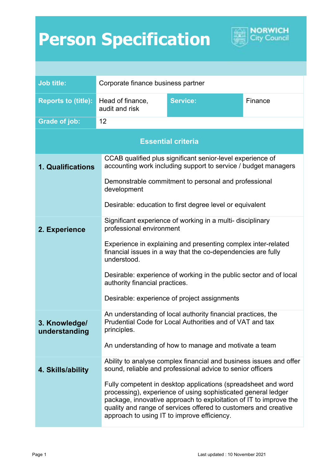## **Person Specification**



NORWICH City Council